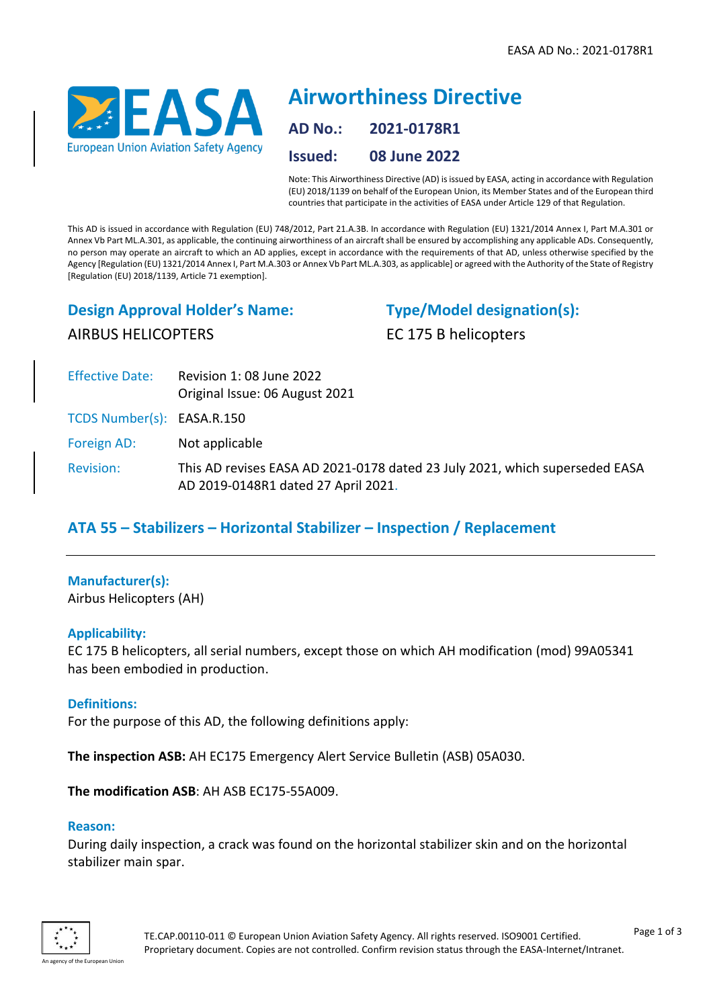

# **Airworthiness Directive AD No.: 2021-0178R1 Issued: 08 June 2022**

Note: This Airworthiness Directive (AD) is issued by EASA, acting in accordance with Regulation (EU) 2018/1139 on behalf of the European Union, its Member States and of the European third countries that participate in the activities of EASA under Article 129 of that Regulation.

This AD is issued in accordance with Regulation (EU) 748/2012, Part 21.A.3B. In accordance with Regulation (EU) 1321/2014 Annex I, Part M.A.301 or Annex Vb Part ML.A.301, as applicable, the continuing airworthiness of an aircraft shall be ensured by accomplishing any applicable ADs. Consequently, no person may operate an aircraft to which an AD applies, except in accordance with the requirements of that AD, unless otherwise specified by the Agency [Regulation (EU) 1321/2014 Annex I, Part M.A.303 or Annex Vb Part ML.A.303, as applicable] or agreed with the Authority of the State of Registry [Regulation (EU) 2018/1139, Article 71 exemption].

# **Design Approval Holder's Name:**

AIRBUS HELICOPTERS

**Type/Model designation(s):** EC 175 B helicopters

Effective Date: Revision 1: 08 June 2022 Original Issue: 06 August 2021

TCDS Number(s): EASA.R.150

Foreign AD: Not applicable

Revision: This AD revises EASA AD 2021-0178 dated 23 July 2021, which superseded EASA AD 2019-0148R1 dated 27 April 2021.

# **ATA 55 – Stabilizers – Horizontal Stabilizer – Inspection / Replacement**

# **Manufacturer(s):**

Airbus Helicopters (AH)

## **Applicability:**

EC 175 B helicopters, all serial numbers, except those on which AH modification (mod) 99A05341 has been embodied in production.

## **Definitions:**

For the purpose of this AD, the following definitions apply:

**The inspection ASB:** AH EC175 Emergency Alert Service Bulletin (ASB) 05A030.

**The modification ASB**: AH ASB EC175-55A009.

#### **Reason:**

During daily inspection, a crack was found on the horizontal stabilizer skin and on the horizontal stabilizer main spar.

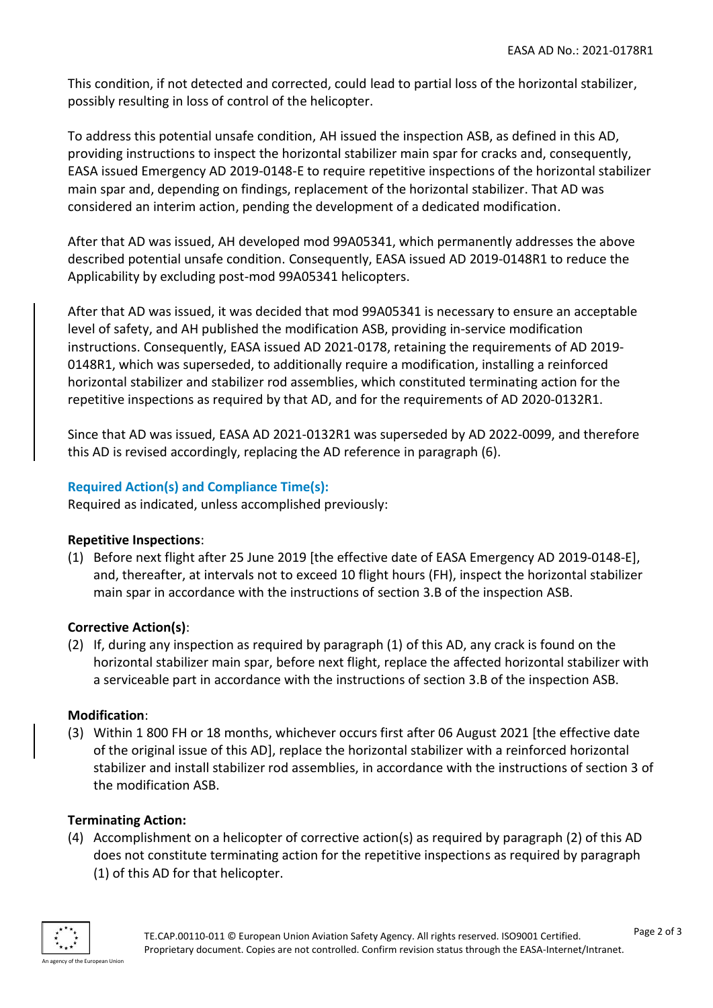This condition, if not detected and corrected, could lead to partial loss of the horizontal stabilizer, possibly resulting in loss of control of the helicopter.

To address this potential unsafe condition, AH issued the inspection ASB, as defined in this AD, providing instructions to inspect the horizontal stabilizer main spar for cracks and, consequently, EASA issued Emergency AD 2019-0148-E to require repetitive inspections of the horizontal stabilizer main spar and, depending on findings, replacement of the horizontal stabilizer. That AD was considered an interim action, pending the development of a dedicated modification.

After that AD was issued, AH developed mod 99A05341, which permanently addresses the above described potential unsafe condition. Consequently, EASA issued AD 2019-0148R1 to reduce the Applicability by excluding post-mod 99A05341 helicopters.

After that AD was issued, it was decided that mod 99A05341 is necessary to ensure an acceptable level of safety, and AH published the modification ASB, providing in-service modification instructions. Consequently, EASA issued AD 2021-0178, retaining the requirements of AD 2019- 0148R1, which was superseded, to additionally require a modification, installing a reinforced horizontal stabilizer and stabilizer rod assemblies, which constituted terminating action for the repetitive inspections as required by that AD, and for the requirements of AD 2020-0132R1.

Since that AD was issued, EASA AD 2021-0132R1 was superseded by AD 2022-0099, and therefore this AD is revised accordingly, replacing the AD reference in paragraph (6).

## **Required Action(s) and Compliance Time(s):**

Required as indicated, unless accomplished previously:

## **Repetitive Inspections**:

(1) Before next flight after 25 June 2019 [the effective date of EASA Emergency AD 2019-0148-E], and, thereafter, at intervals not to exceed 10 flight hours (FH), inspect the horizontal stabilizer main spar in accordance with the instructions of section 3.B of the inspection ASB.

## **Corrective Action(s)**:

(2) If, during any inspection as required by paragraph (1) of this AD, any crack is found on the horizontal stabilizer main spar, before next flight, replace the affected horizontal stabilizer with a serviceable part in accordance with the instructions of section 3.B of the inspection ASB.

#### **Modification**:

(3) Within 1 800 FH or 18 months, whichever occurs first after 06 August 2021 [the effective date of the original issue of this AD], replace the horizontal stabilizer with a reinforced horizontal stabilizer and install stabilizer rod assemblies, in accordance with the instructions of section 3 of the modification ASB.

#### **Terminating Action:**

(4) Accomplishment on a helicopter of corrective action(s) as required by paragraph (2) of this AD does not constitute terminating action for the repetitive inspections as required by paragraph (1) of this AD for that helicopter.